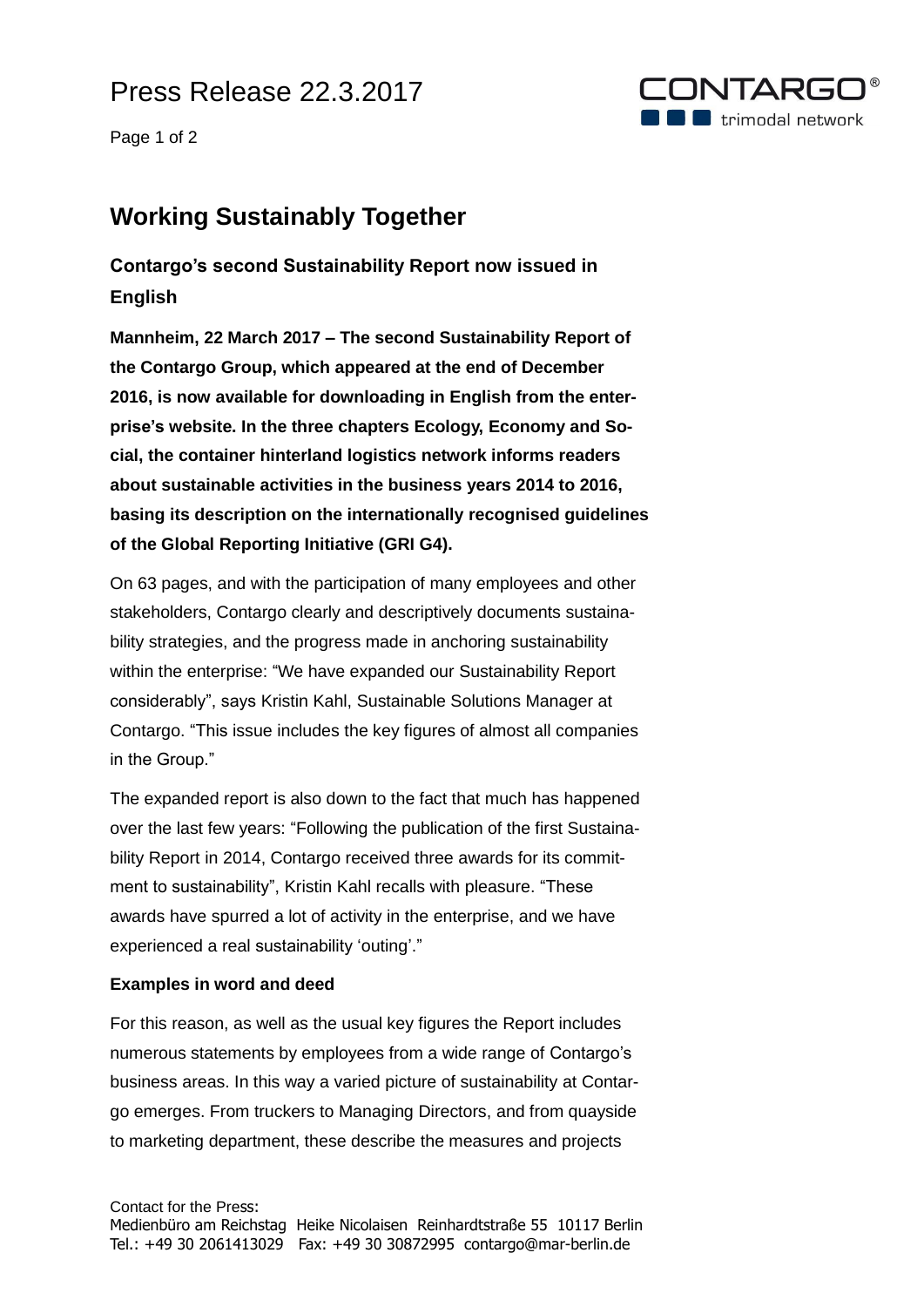## Press Release 22.3.2017

Page 1 of 2



### **Working Sustainably Together**

### **Contargo's second Sustainability Report now issued in English**

**Mannheim, 22 March 2017 – The second Sustainability Report of the Contargo Group, which appeared at the end of December 2016, is now available for downloading in English from the enterprise's website. In the three chapters Ecology, Economy and Social, the container hinterland logistics network informs readers about sustainable activities in the business years 2014 to 2016, basing its description on the internationally recognised guidelines of the Global Reporting Initiative (GRI G4).**

On 63 pages, and with the participation of many employees and other stakeholders, Contargo clearly and descriptively documents sustainability strategies, and the progress made in anchoring sustainability within the enterprise: "We have expanded our Sustainability Report considerably", says Kristin Kahl, Sustainable Solutions Manager at Contargo. "This issue includes the key figures of almost all companies in the Group."

The expanded report is also down to the fact that much has happened over the last few years: "Following the publication of the first Sustainability Report in 2014, Contargo received three awards for its commitment to sustainability", Kristin Kahl recalls with pleasure. "These awards have spurred a lot of activity in the enterprise, and we have experienced a real sustainability 'outing'."

#### **Examples in word and deed**

For this reason, as well as the usual key figures the Report includes numerous statements by employees from a wide range of Contargo's business areas. In this way a varied picture of sustainability at Contargo emerges. From truckers to Managing Directors, and from quayside to marketing department, these describe the measures and projects